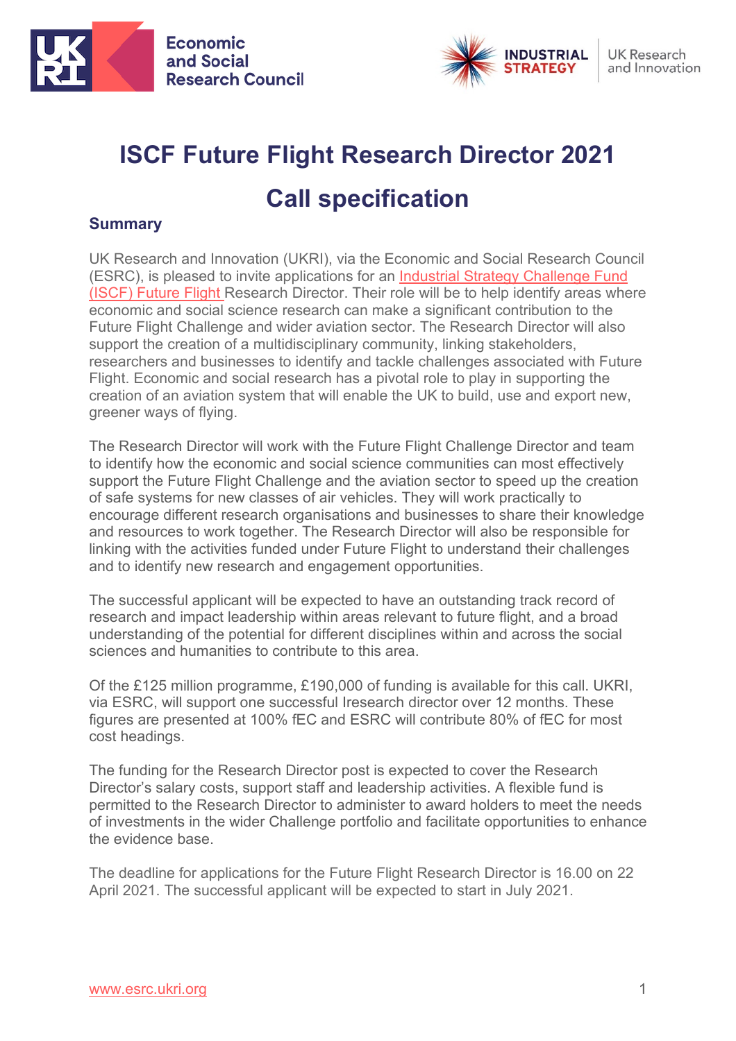



# **ISCF Future Flight Research Director 2021 Call specification**

## **Summary**

UK Research and Innovation (UKRI), via the Economic and Social Research Council (ESRC), is pleased to invite applications for an [Industrial Strategy Challenge Fund](https://www.ukri.org/our-work/our-main-funds/industrial-strategy-challenge-fund/future-of-mobility/future-flight-challenge/)  (ISCF) [Future Flight](https://www.ukri.org/our-work/our-main-funds/industrial-strategy-challenge-fund/future-of-mobility/future-flight-challenge/) Research Director. Their role will be to help identify areas where economic and social science research can make a significant contribution to the Future Flight Challenge and wider aviation sector. The Research Director will also support the creation of a multidisciplinary community, linking stakeholders, researchers and businesses to identify and tackle challenges associated with Future Flight. Economic and social research has a pivotal role to play in supporting the creation of an aviation system that will enable the UK to build, use and export new, greener ways of flying.

The Research Director will work with the Future Flight Challenge Director and team to identify how the economic and social science communities can most effectively support the Future Flight Challenge and the aviation sector to speed up the creation of safe systems for new classes of air vehicles. They will work practically to encourage different research organisations and businesses to share their knowledge and resources to work together. The Research Director will also be responsible for linking with the activities funded under Future Flight to understand their challenges and to identify new research and engagement opportunities.

The successful applicant will be expected to have an outstanding track record of research and impact leadership within areas relevant to future flight, and a broad understanding of the potential for different disciplines within and across the social sciences and humanities to contribute to this area.

Of the £125 million programme, £190,000 of funding is available for this call. UKRI, via ESRC, will support one successful Iresearch director over 12 months. These figures are presented at 100% fEC and ESRC will contribute 80% of fEC for most cost headings.

The funding for the Research Director post is expected to cover the Research Director's salary costs, support staff and leadership activities. A flexible fund is permitted to the Research Director to administer to award holders to meet the needs of investments in the wider Challenge portfolio and facilitate opportunities to enhance the evidence base.

The deadline for applications for the Future Flight Research Director is 16.00 on 22 April 2021. The successful applicant will be expected to start in July 2021.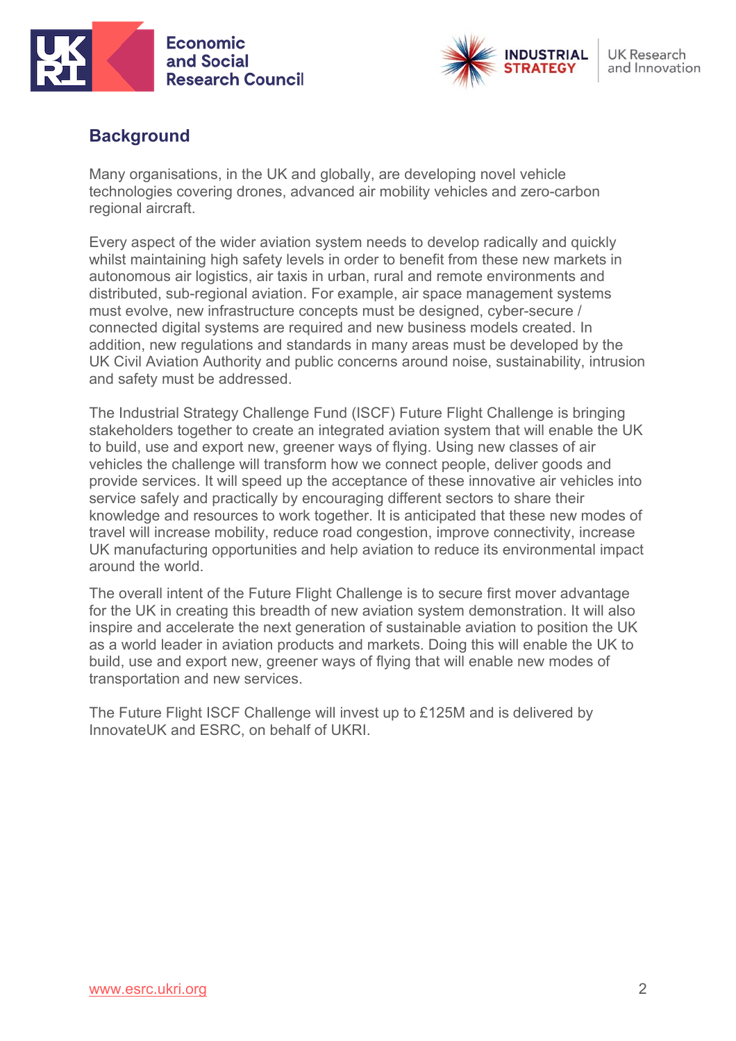



## **Background**

Many organisations, in the UK and globally, are developing novel vehicle technologies covering drones, advanced air mobility vehicles and zero-carbon regional aircraft.

Every aspect of the wider aviation system needs to develop radically and quickly whilst maintaining high safety levels in order to benefit from these new markets in autonomous air logistics, air taxis in urban, rural and remote environments and distributed, sub-regional aviation. For example, air space management systems must evolve, new infrastructure concepts must be designed, cyber-secure / connected digital systems are required and new business models created. In addition, new regulations and standards in many areas must be developed by the UK Civil Aviation Authority and public concerns around noise, sustainability, intrusion and safety must be addressed.

The Industrial Strategy Challenge Fund (ISCF) Future Flight Challenge is bringing stakeholders together to create an integrated aviation system that will enable the UK to build, use and export new, greener ways of flying. Using new classes of air vehicles the challenge will transform how we connect people, deliver goods and provide services. It will speed up the acceptance of these innovative air vehicles into service safely and practically by encouraging different sectors to share their knowledge and resources to work together. It is anticipated that these new modes of travel will increase mobility, reduce road congestion, improve connectivity, increase UK manufacturing opportunities and help aviation to reduce its environmental impact around the world.

The overall intent of the Future Flight Challenge is to secure first mover advantage for the UK in creating this breadth of new aviation system demonstration. It will also inspire and accelerate the next generation of sustainable aviation to position the UK as a world leader in aviation products and markets. Doing this will enable the UK to build, use and export new, greener ways of flying that will enable new modes of transportation and new services.

The Future Flight ISCF Challenge will invest up to £125M and is delivered by InnovateUK and ESRC, on behalf of UKRI.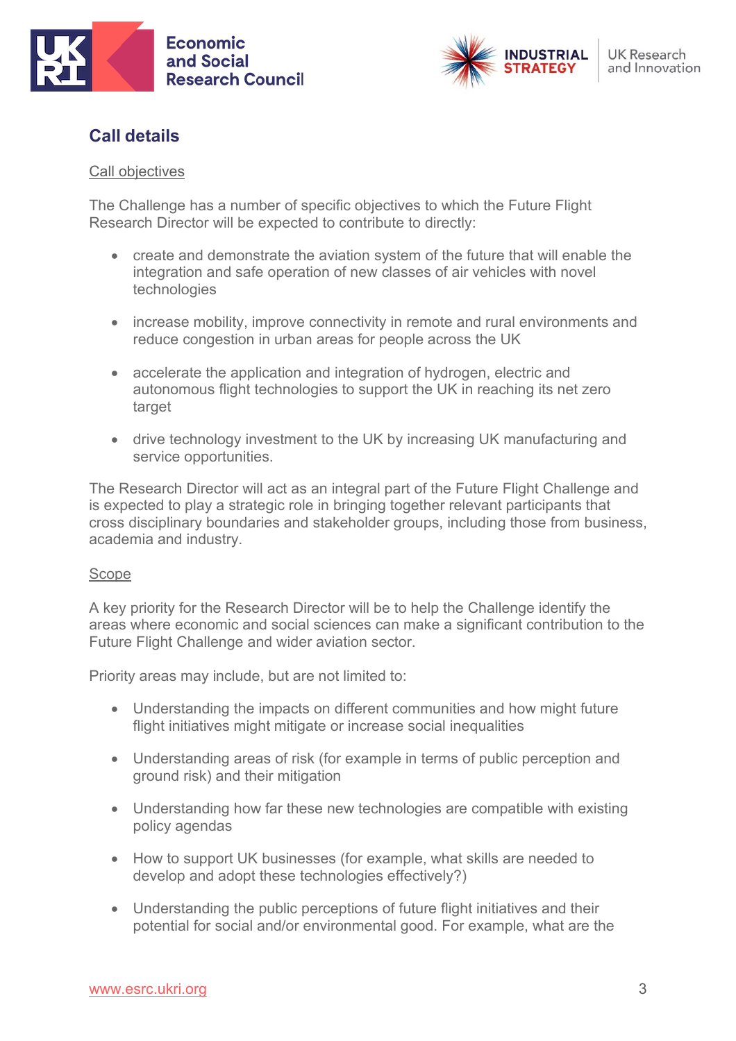



# **Call details**

#### Call objectives

The Challenge has a number of specific objectives to which the Future Flight Research Director will be expected to contribute to directly:

- create and demonstrate the aviation system of the future that will enable the integration and safe operation of new classes of air vehicles with novel technologies
- increase mobility, improve connectivity in remote and rural environments and reduce congestion in urban areas for people across the UK
- accelerate the application and integration of hydrogen, electric and autonomous flight technologies to support the UK in reaching its net zero target
- drive technology investment to the UK by increasing UK manufacturing and service opportunities.

The Research Director will act as an integral part of the Future Flight Challenge and is expected to play a strategic role in bringing together relevant participants that cross disciplinary boundaries and stakeholder groups, including those from business, academia and industry.

#### Scope

A key priority for the Research Director will be to help the Challenge identify the areas where economic and social sciences can make a significant contribution to the Future Flight Challenge and wider aviation sector.

Priority areas may include, but are not limited to:

- Understanding the impacts on different communities and how might future flight initiatives might mitigate or increase social inequalities
- Understanding areas of risk (for example in terms of public perception and ground risk) and their mitigation
- Understanding how far these new technologies are compatible with existing policy agendas
- How to support UK businesses (for example, what skills are needed to develop and adopt these technologies effectively?)
- Understanding the public perceptions of future flight initiatives and their potential for social and/or environmental good. For example, what are the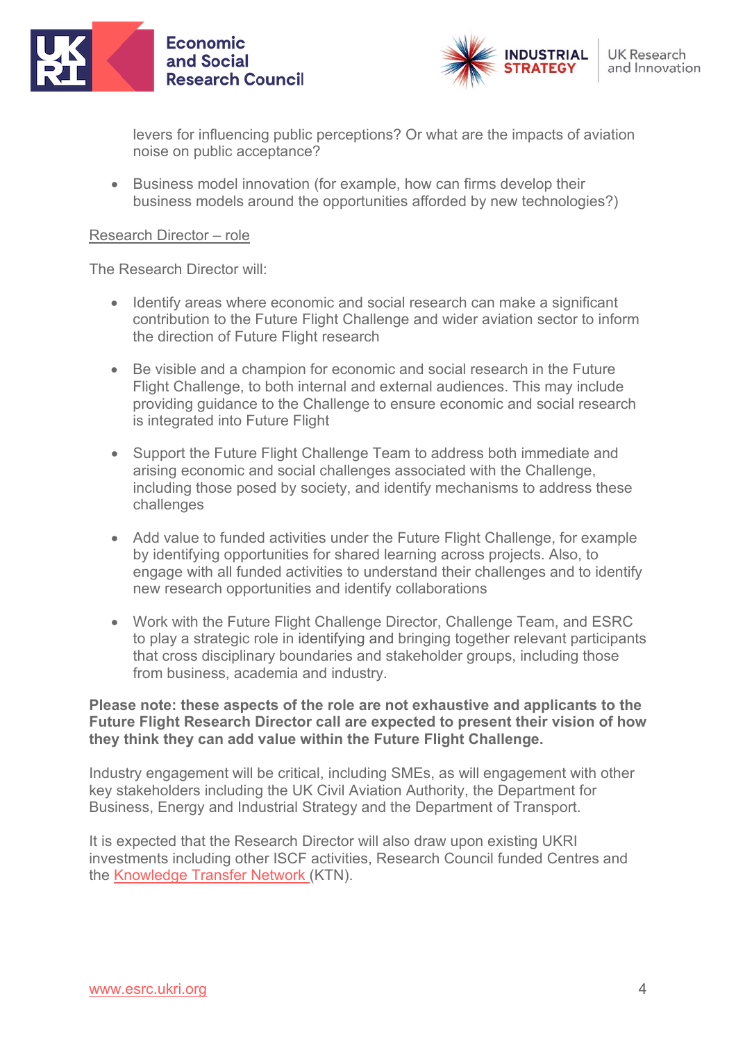



levers for influencing public perceptions? Or what are the impacts of aviation noise on public acceptance?

• Business model innovation (for example, how can firms develop their business models around the opportunities afforded by new technologies?)

#### Research Director – role

The Research Director will:

- Identify areas where economic and social research can make a significant contribution to the Future Flight Challenge and wider aviation sector to inform the direction of Future Flight research
- Be visible and a champion for economic and social research in the Future Flight Challenge, to both internal and external audiences. This may include providing guidance to the Challenge to ensure economic and social research is integrated into Future Flight
- Support the Future Flight Challenge Team to address both immediate and arising economic and social challenges associated with the Challenge, including those posed by society, and identify mechanisms to address these challenges
- Add value to funded activities under the Future Flight Challenge, for example by identifying opportunities for shared learning across projects. Also, to engage with all funded activities to understand their challenges and to identify new research opportunities and identify collaborations
- Work with the Future Flight Challenge Director, Challenge Team, and ESRC to play a strategic role in identifying and bringing together relevant participants that cross disciplinary boundaries and stakeholder groups, including those from business, academia and industry.

#### **Please note: these aspects of the role are not exhaustive and applicants to the Future Flight Research Director call are expected to present their vision of how they think they can add value within the Future Flight Challenge.**

Industry engagement will be critical, including SMEs, as will engagement with other key stakeholders including the UK Civil Aviation Authority, the Department for Business, Energy and Industrial Strategy and the Department of Transport.

It is expected that the Research Director will also draw upon existing UKRI investments including other ISCF activities, Research Council funded Centres and the [Knowledge Transfer Network](https://ktn-uk.org/transport/aviation/) (KTN).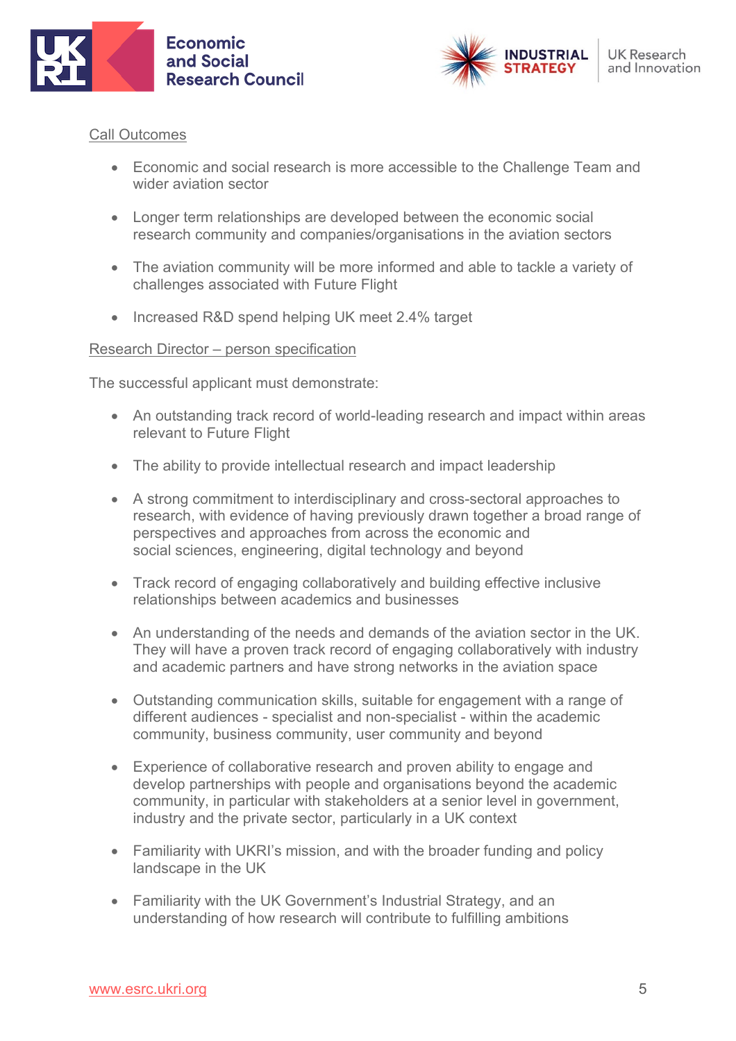



#### Call Outcomes

- Economic and social research is more accessible to the Challenge Team and wider aviation sector
- Longer term relationships are developed between the economic social research community and companies/organisations in the aviation sectors
- The aviation community will be more informed and able to tackle a variety of challenges associated with Future Flight
- Increased R&D spend helping UK meet 2.4% target

#### Research Director – person specification

The successful applicant must demonstrate:

- An outstanding track record of world-leading research and impact within areas relevant to Future Flight
- The ability to provide intellectual research and impact leadership
- A strong commitment to interdisciplinary and cross-sectoral approaches to research, with evidence of having previously drawn together a broad range of perspectives and approaches from across the economic and social sciences, engineering, digital technology and beyond
- Track record of engaging collaboratively and building effective inclusive relationships between academics and businesses
- An understanding of the needs and demands of the aviation sector in the UK. They will have a proven track record of engaging collaboratively with industry and academic partners and have strong networks in the aviation space
- Outstanding communication skills, suitable for engagement with a range of different audiences - specialist and non-specialist - within the academic community, business community, user community and beyond
- Experience of collaborative research and proven ability to engage and develop partnerships with people and organisations beyond the academic community, in particular with stakeholders at a senior level in government, industry and the private sector, particularly in a UK context
- Familiarity with UKRI's mission, and with the broader funding and policy landscape in the UK
- Familiarity with the UK Government's Industrial Strategy, and an understanding of how research will contribute to fulfilling ambitions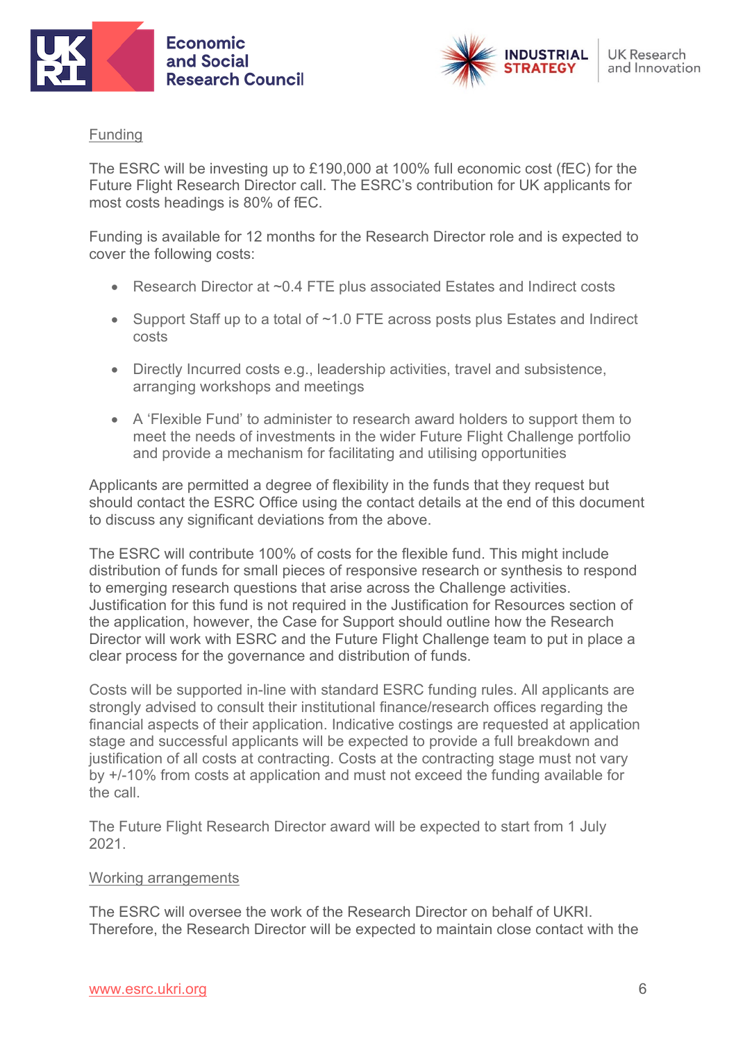



#### **Funding**

The ESRC will be investing up to £190,000 at 100% full economic cost (fEC) for the Future Flight Research Director call. The ESRC's contribution for UK applicants for most costs headings is 80% of fEC.

Funding is available for 12 months for the Research Director role and is expected to cover the following costs:

- Research Director at ~0.4 FTE plus associated Estates and Indirect costs
- Support Staff up to a total of ~1.0 FTE across posts plus Estates and Indirect costs
- Directly Incurred costs e.g., leadership activities, travel and subsistence, arranging workshops and meetings
- A 'Flexible Fund' to administer to research award holders to support them to meet the needs of investments in the wider Future Flight Challenge portfolio and provide a mechanism for facilitating and utilising opportunities

Applicants are permitted a degree of flexibility in the funds that they request but should contact the ESRC Office using the contact details at the end of this document to discuss any significant deviations from the above.

The ESRC will contribute 100% of costs for the flexible fund. This might include distribution of funds for small pieces of responsive research or synthesis to respond to emerging research questions that arise across the Challenge activities. Justification for this fund is not required in the Justification for Resources section of the application, however, the Case for Support should outline how the Research Director will work with ESRC and the Future Flight Challenge team to put in place a clear process for the governance and distribution of funds.

Costs will be supported in-line with standard ESRC funding rules. All applicants are strongly advised to consult their institutional finance/research offices regarding the financial aspects of their application. Indicative costings are requested at application stage and successful applicants will be expected to provide a full breakdown and justification of all costs at contracting. Costs at the contracting stage must not vary by +/-10% from costs at application and must not exceed the funding available for the call.

The Future Flight Research Director award will be expected to start from 1 July 2021.

#### Working arrangements

The ESRC will oversee the work of the Research Director on behalf of UKRI. Therefore, the Research Director will be expected to maintain close contact with the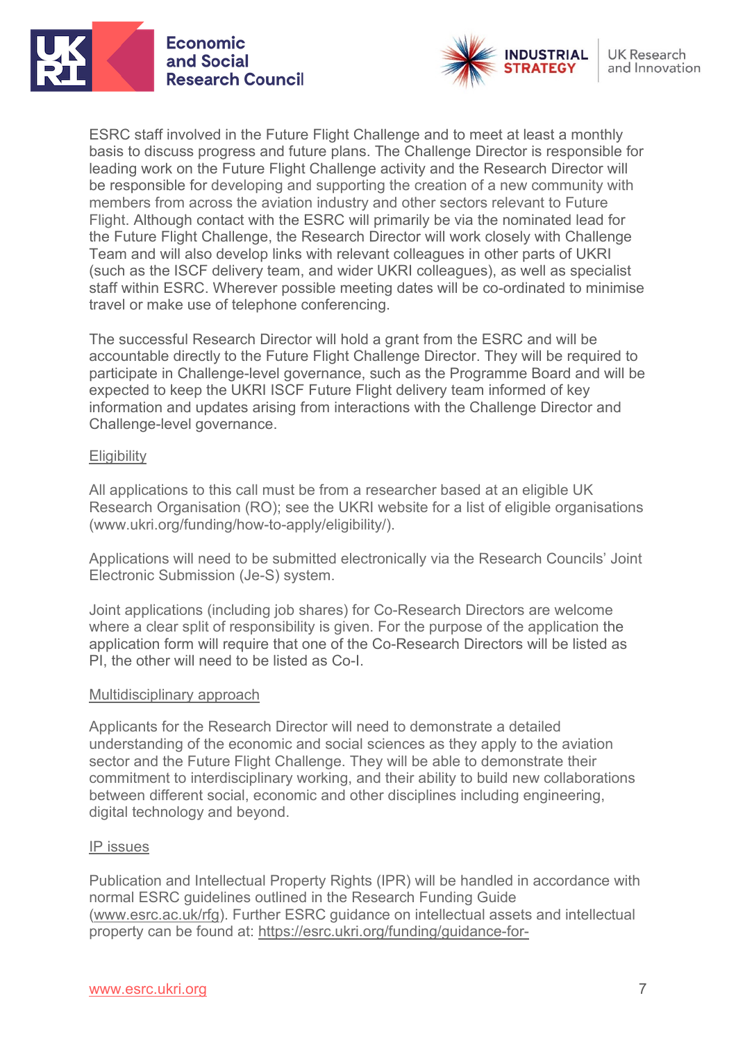



ESRC staff involved in the Future Flight Challenge and to meet at least a monthly basis to discuss progress and future plans. The Challenge Director is responsible for leading work on the Future Flight Challenge activity and the Research Director will be responsible for developing and supporting the creation of a new community with members from across the aviation industry and other sectors relevant to Future Flight. Although contact with the ESRC will primarily be via the nominated lead for the Future Flight Challenge, the Research Director will work closely with Challenge Team and will also develop links with relevant colleagues in other parts of UKRI (such as the ISCF delivery team, and wider UKRI colleagues), as well as specialist staff within ESRC. Wherever possible meeting dates will be co-ordinated to minimise travel or make use of telephone conferencing.

The successful Research Director will hold a grant from the ESRC and will be accountable directly to the Future Flight Challenge Director. They will be required to participate in Challenge-level governance, such as the Programme Board and will be expected to keep the UKRI ISCF Future Flight delivery team informed of key information and updates arising from interactions with the Challenge Director and Challenge-level governance.

#### **Eligibility**

All applications to this call must be from a researcher based at an eligible UK Research Organisation (RO); see the UKRI website for a list of eligible organisations [\(www.ukri.org/funding/how-to-apply/eligibility/\)](https://www.ukri.org/funding/how-to-apply/eligibility/).

Applications will need to be submitted electronically via the Research Councils' Joint Electronic Submission (Je-S) system.

Joint applications (including job shares) for Co-Research Directors are welcome where a clear split of responsibility is given. For the purpose of the application the application form will require that one of the Co-Research Directors will be listed as PI, the other will need to be listed as Co-I.

#### Multidisciplinary approach

Applicants for the Research Director will need to demonstrate a detailed understanding of the economic and social sciences as they apply to the aviation sector and the Future Flight Challenge. They will be able to demonstrate their commitment to interdisciplinary working, and their ability to build new collaborations between different social, economic and other disciplines including engineering, digital technology and beyond.

#### IP issues

Publication and Intellectual Property Rights (IPR) will be handled in accordance with normal ESRC guidelines outlined in the Research Funding Guide [\(www.esrc.ac.uk/rfg\)](http://www.esrc.ac.uk/rfg). Further ESRC guidance on intellectual assets and intellectual property can be found at: [https://esrc.ukri.org/funding/guidance-for-](https://esrc.ukri.org/funding/guidance-for-applicants/intellectual-assets-and-intellectual-property/)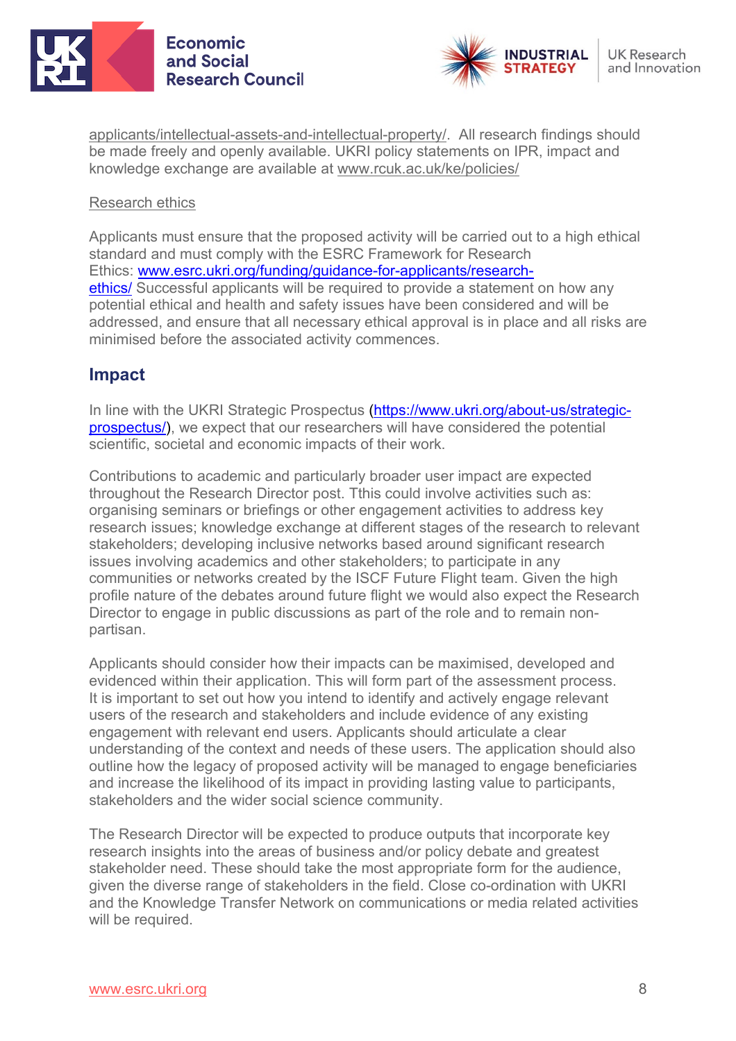



[applicants/intellectual-assets-and-intellectual-property/.](https://esrc.ukri.org/funding/guidance-for-applicants/intellectual-assets-and-intellectual-property/) All research findings should be made freely and openly available. UKRI policy statements on IPR, impact and knowledge exchange are available at [www.rcuk.ac.uk/ke/policies/](http://www.rcuk.ac.uk/ke/policies/) 

#### Research ethics

Applicants must ensure that the proposed activity will be carried out to a high ethical standard and must comply with the ESRC Framework for Research Ethics: [www.esrc.ukri.org/funding/guidance-for-applicants/research](http://www.esrc.ukri.org/funding/guidance-for-applicants/research-ethics/)[ethics/](http://www.esrc.ukri.org/funding/guidance-for-applicants/research-ethics/) Successful applicants will be required to provide a statement on how any potential ethical and health and safety issues have been considered and will be addressed, and ensure that all necessary ethical approval is in place and all risks are minimised before the associated activity commences.

## **Impact**

In line with the UKRI Strategic Prospectus [\(https://www.ukri.org/about-us/strategic](https://www.ukri.org/about-us/strategic-prospectus/)[prospectus/\)](https://www.ukri.org/about-us/strategic-prospectus/), we expect that our researchers will have considered the potential scientific, societal and economic impacts of their work.

Contributions to academic and particularly broader user impact are expected throughout the Research Director post. Tthis could involve activities such as: organising seminars or briefings or other engagement activities to address key research issues; knowledge exchange at different stages of the research to relevant stakeholders; developing inclusive networks based around significant research issues involving academics and other stakeholders; to participate in any communities or networks created by the ISCF Future Flight team. Given the high profile nature of the debates around future flight we would also expect the Research Director to engage in public discussions as part of the role and to remain nonpartisan.

Applicants should consider how their impacts can be maximised, developed and evidenced within their application. This will form part of the assessment process. It is important to set out how you intend to identify and actively engage relevant users of the research and stakeholders and include evidence of any existing engagement with relevant end users. Applicants should articulate a clear understanding of the context and needs of these users. The application should also outline how the legacy of proposed activity will be managed to engage beneficiaries and increase the likelihood of its impact in providing lasting value to participants, stakeholders and the wider social science community.

The Research Director will be expected to produce outputs that incorporate key research insights into the areas of business and/or policy debate and greatest stakeholder need. These should take the most appropriate form for the audience, given the diverse range of stakeholders in the field. Close co-ordination with UKRI and the Knowledge Transfer Network on communications or media related activities will be required.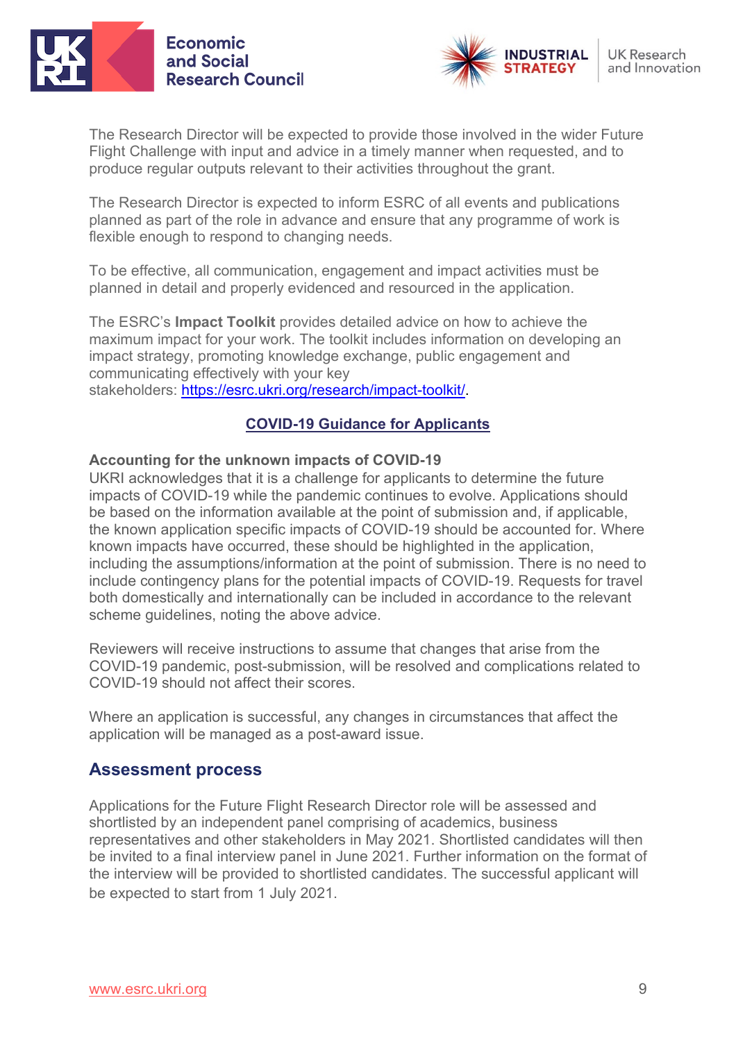



The Research Director will be expected to provide those involved in the wider Future Flight Challenge with input and advice in a timely manner when requested, and to produce regular outputs relevant to their activities throughout the grant.

The Research Director is expected to inform ESRC of all events and publications planned as part of the role in advance and ensure that any programme of work is flexible enough to respond to changing needs.

To be effective, all communication, engagement and impact activities must be planned in detail and properly evidenced and resourced in the application.

The ESRC's **Impact Toolkit** provides detailed advice on how to achieve the maximum impact for your work. The toolkit includes information on developing an impact strategy, promoting knowledge exchange, public engagement and communicating effectively with your key stakeholders: [https://esrc.ukri.org/research/impact-toolkit/.](https://esrc.ukri.org/research/impact-toolkit/)

## **COVID-19 Guidance for Applicants**

#### **Accounting for the unknown impacts of COVID-19**

UKRI acknowledges that it is a challenge for applicants to determine the future impacts of COVID-19 while the pandemic continues to evolve. Applications should be based on the information available at the point of submission and, if applicable, the known application specific impacts of COVID-19 should be accounted for. Where known impacts have occurred, these should be highlighted in the application, including the assumptions/information at the point of submission. There is no need to include contingency plans for the potential impacts of COVID-19. Requests for travel both domestically and internationally can be included in accordance to the relevant scheme guidelines, noting the above advice.

Reviewers will receive instructions to assume that changes that arise from the COVID-19 pandemic, post-submission, will be resolved and complications related to COVID-19 should not affect their scores.

Where an application is successful, any changes in circumstances that affect the application will be managed as a post-award issue.

## **Assessment process**

Applications for the Future Flight Research Director role will be assessed and shortlisted by an independent panel comprising of academics, business representatives and other stakeholders in May 2021. Shortlisted candidates will then be invited to a final interview panel in June 2021. Further information on the format of the interview will be provided to shortlisted candidates. The successful applicant will be expected to start from 1 July 2021.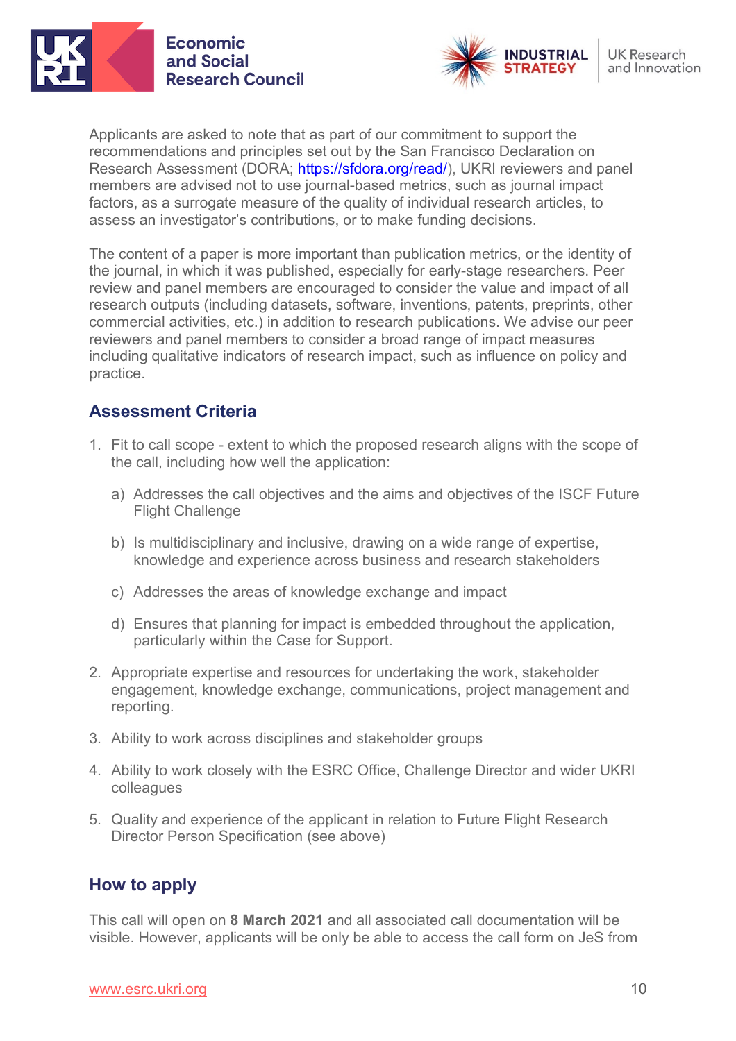



Applicants are asked to note that as part of our commitment to support the recommendations and principles set out by the San Francisco Declaration on Research Assessment (DORA; [https://sfdora.org/read/\)](https://sfdora.org/read/), UKRI reviewers and panel members are advised not to use journal-based metrics, such as journal impact factors, as a surrogate measure of the quality of individual research articles, to assess an investigator's contributions, or to make funding decisions.

The content of a paper is more important than publication metrics, or the identity of the journal, in which it was published, especially for early-stage researchers. Peer review and panel members are encouraged to consider the value and impact of all research outputs (including datasets, software, inventions, patents, preprints, other commercial activities, etc.) in addition to research publications. We advise our peer reviewers and panel members to consider a broad range of impact measures including qualitative indicators of research impact, such as influence on policy and practice.

## **Assessment Criteria**

- 1. Fit to call scope extent to which the proposed research aligns with the scope of the call, including how well the application:
	- a) Addresses the call objectives and the aims and objectives of the ISCF Future Flight Challenge
	- b) Is multidisciplinary and inclusive, drawing on a wide range of expertise, knowledge and experience across business and research stakeholders
	- c) Addresses the areas of knowledge exchange and impact
	- d) Ensures that planning for impact is embedded throughout the application, particularly within the Case for Support.
- 2. Appropriate expertise and resources for undertaking the work, stakeholder engagement, knowledge exchange, communications, project management and reporting.
- 3. Ability to work across disciplines and stakeholder groups
- 4. Ability to work closely with the ESRC Office, Challenge Director and wider UKRI colleagues
- 5. Quality and experience of the applicant in relation to Future Flight Research Director Person Specification (see above)

# **How to apply**

This call will open on **8 March 2021** and all associated call documentation will be visible. However, applicants will be only be able to access the call form on JeS from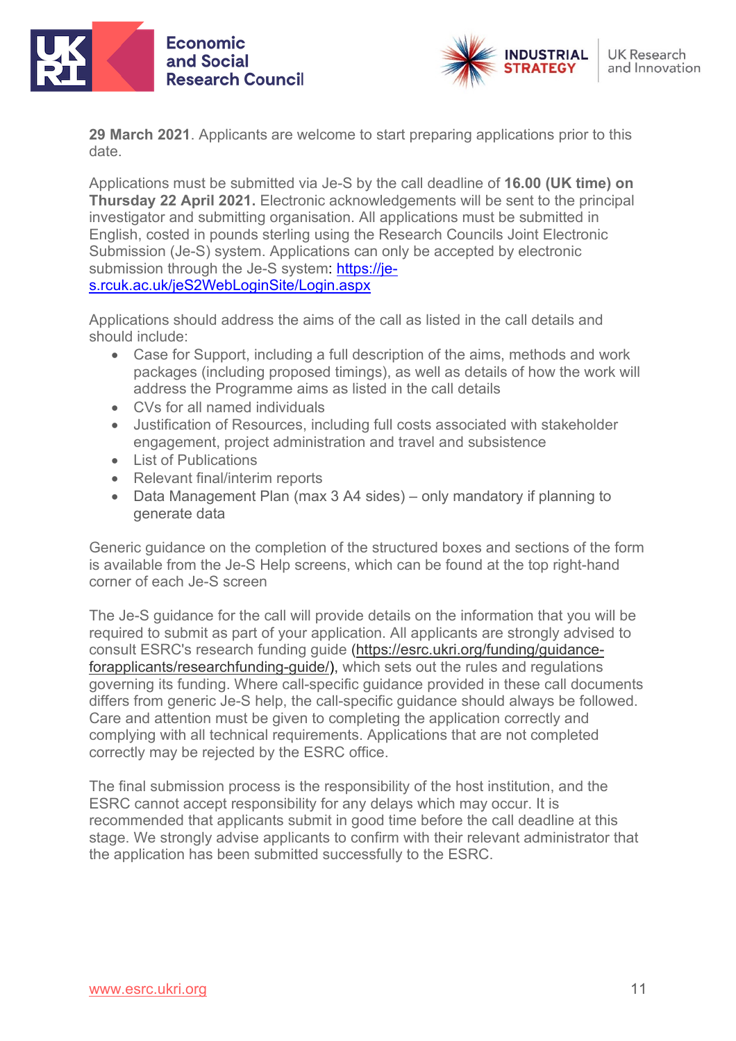



**29 March 2021**. Applicants are welcome to start preparing applications prior to this date.

Applications must be submitted via Je-S by the call deadline of **16.00 (UK time) on Thursday 22 April 2021.** Electronic acknowledgements will be sent to the principal investigator and submitting organisation. All applications must be submitted in English, costed in pounds sterling using the Research Councils Joint Electronic Submission (Je-S) system. Applications can only be accepted by electronic submission through the Je-S system: [https://je](https://je-s.rcuk.ac.uk/JeS2WebLoginSite/Login.aspx)[s.rcuk.ac.uk/jeS2WebLoginSite/Login.aspx](https://je-s.rcuk.ac.uk/JeS2WebLoginSite/Login.aspx)

Applications should address the aims of the call as listed in the call details and should include:

- Case for Support, including a full description of the aims, methods and work packages (including proposed timings), as well as details of how the work will address the Programme aims as listed in the call details
- CVs for all named individuals
- Justification of Resources, including full costs associated with stakeholder engagement, project administration and travel and subsistence
- List of Publications
- Relevant final/interim reports
- Data Management Plan (max 3 A4 sides) only mandatory if planning to generate data

Generic guidance on the completion of the structured boxes and sections of the form is available from the Je-S Help screens, which can be found at the top right-hand corner of each Je-S screen

The Je-S guidance for the call will provide details on the information that you will be required to submit as part of your application. All applicants are strongly advised to consult ESRC's research funding guide [\(https://esrc.ukri.org/funding/guidance](https://esrc.ukri.org/funding/guidance-for-applicants/research-funding-guide/)[forapplicants/researchfunding-guide/\)](https://esrc.ukri.org/funding/guidance-for-applicants/research-funding-guide/), which sets out the rules and regulations governing its funding. Where call-specific guidance provided in these call documents differs from generic Je-S help, the call-specific guidance should always be followed. Care and attention must be given to completing the application correctly and complying with all technical requirements. Applications that are not completed correctly may be rejected by the ESRC office.

The final submission process is the responsibility of the host institution, and the ESRC cannot accept responsibility for any delays which may occur. It is recommended that applicants submit in good time before the call deadline at this stage. We strongly advise applicants to confirm with their relevant administrator that the application has been submitted successfully to the ESRC.